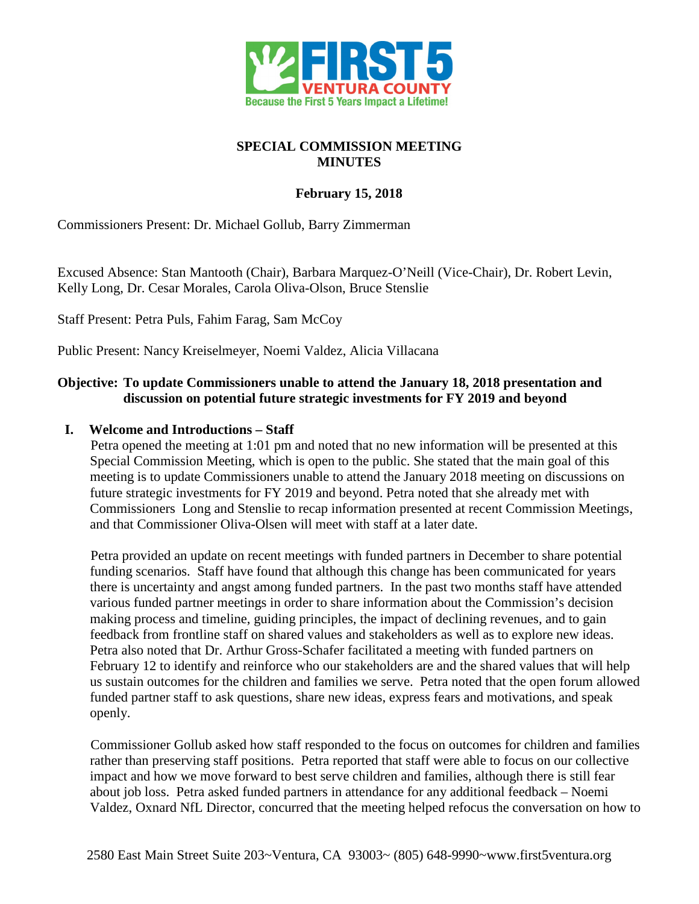

# **SPECIAL COMMISSION MEETING MINUTES**

# **February 15, 2018**

Commissioners Present: Dr. Michael Gollub, Barry Zimmerman

Excused Absence: Stan Mantooth (Chair), Barbara Marquez-O'Neill (Vice-Chair), Dr. Robert Levin, Kelly Long, Dr. Cesar Morales, Carola Oliva-Olson, Bruce Stenslie

Staff Present: Petra Puls, Fahim Farag, Sam McCoy

Public Present: Nancy Kreiselmeyer, Noemi Valdez, Alicia Villacana

### **Objective: To update Commissioners unable to attend the January 18, 2018 presentation and discussion on potential future strategic investments for FY 2019 and beyond**

#### **I. Welcome and Introductions – Staff**

Petra opened the meeting at 1:01 pm and noted that no new information will be presented at this Special Commission Meeting, which is open to the public. She stated that the main goal of this meeting is to update Commissioners unable to attend the January 2018 meeting on discussions on future strategic investments for FY 2019 and beyond. Petra noted that she already met with Commissioners Long and Stenslie to recap information presented at recent Commission Meetings, and that Commissioner Oliva-Olsen will meet with staff at a later date.

Petra provided an update on recent meetings with funded partners in December to share potential funding scenarios. Staff have found that although this change has been communicated for years there is uncertainty and angst among funded partners. In the past two months staff have attended various funded partner meetings in order to share information about the Commission's decision making process and timeline, guiding principles, the impact of declining revenues, and to gain feedback from frontline staff on shared values and stakeholders as well as to explore new ideas. Petra also noted that Dr. Arthur Gross-Schafer facilitated a meeting with funded partners on February 12 to identify and reinforce who our stakeholders are and the shared values that will help us sustain outcomes for the children and families we serve. Petra noted that the open forum allowed funded partner staff to ask questions, share new ideas, express fears and motivations, and speak openly.

Commissioner Gollub asked how staff responded to the focus on outcomes for children and families rather than preserving staff positions. Petra reported that staff were able to focus on our collective impact and how we move forward to best serve children and families, although there is still fear about job loss. Petra asked funded partners in attendance for any additional feedback – Noemi Valdez, Oxnard NfL Director, concurred that the meeting helped refocus the conversation on how to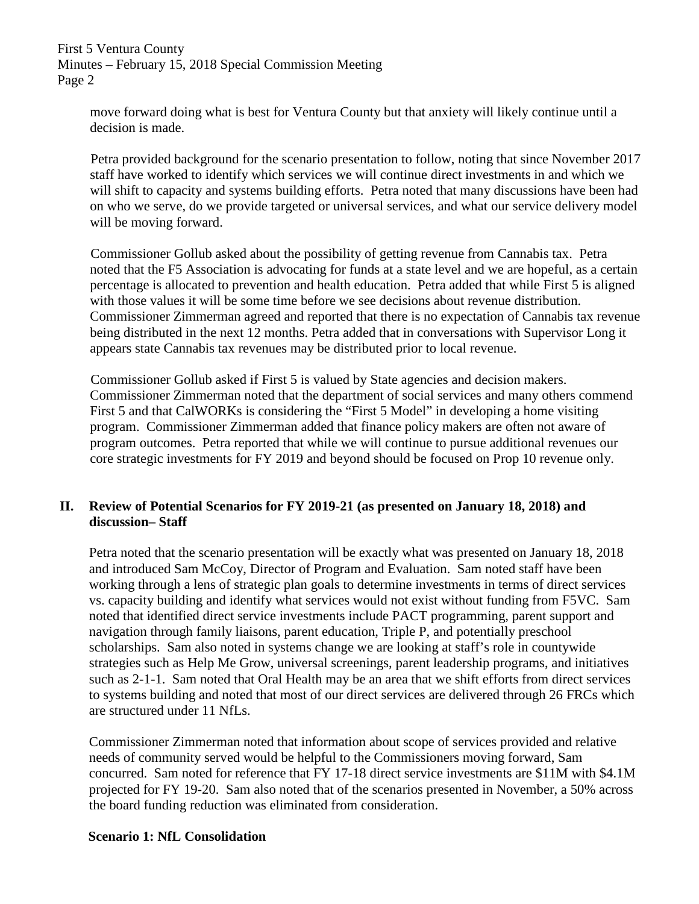move forward doing what is best for Ventura County but that anxiety will likely continue until a decision is made.

Petra provided background for the scenario presentation to follow, noting that since November 2017 staff have worked to identify which services we will continue direct investments in and which we will shift to capacity and systems building efforts. Petra noted that many discussions have been had on who we serve, do we provide targeted or universal services, and what our service delivery model will be moving forward.

Commissioner Gollub asked about the possibility of getting revenue from Cannabis tax. Petra noted that the F5 Association is advocating for funds at a state level and we are hopeful, as a certain percentage is allocated to prevention and health education. Petra added that while First 5 is aligned with those values it will be some time before we see decisions about revenue distribution. Commissioner Zimmerman agreed and reported that there is no expectation of Cannabis tax revenue being distributed in the next 12 months. Petra added that in conversations with Supervisor Long it appears state Cannabis tax revenues may be distributed prior to local revenue.

Commissioner Gollub asked if First 5 is valued by State agencies and decision makers. Commissioner Zimmerman noted that the department of social services and many others commend First 5 and that CalWORKs is considering the "First 5 Model" in developing a home visiting program. Commissioner Zimmerman added that finance policy makers are often not aware of program outcomes. Petra reported that while we will continue to pursue additional revenues our core strategic investments for FY 2019 and beyond should be focused on Prop 10 revenue only.

# **II. Review of Potential Scenarios for FY 2019-21 (as presented on January 18, 2018) and discussion– Staff**

Petra noted that the scenario presentation will be exactly what was presented on January 18, 2018 and introduced Sam McCoy, Director of Program and Evaluation. Sam noted staff have been working through a lens of strategic plan goals to determine investments in terms of direct services vs. capacity building and identify what services would not exist without funding from F5VC. Sam noted that identified direct service investments include PACT programming, parent support and navigation through family liaisons, parent education, Triple P, and potentially preschool scholarships. Sam also noted in systems change we are looking at staff's role in countywide strategies such as Help Me Grow, universal screenings, parent leadership programs, and initiatives such as 2-1-1. Sam noted that Oral Health may be an area that we shift efforts from direct services to systems building and noted that most of our direct services are delivered through 26 FRCs which are structured under 11 NfLs.

Commissioner Zimmerman noted that information about scope of services provided and relative needs of community served would be helpful to the Commissioners moving forward, Sam concurred. Sam noted for reference that FY 17-18 direct service investments are \$11M with \$4.1M projected for FY 19-20. Sam also noted that of the scenarios presented in November, a 50% across the board funding reduction was eliminated from consideration.

#### **Scenario 1: NfL Consolidation**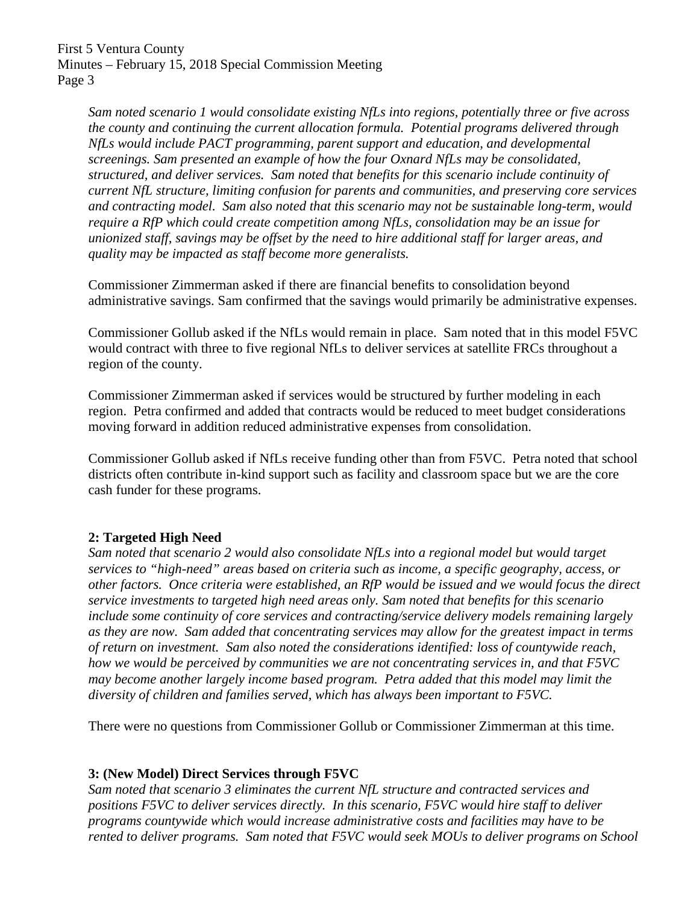*Sam noted scenario 1 would consolidate existing NfLs into regions, potentially three or five across the county and continuing the current allocation formula. Potential programs delivered through NfLs would include PACT programming, parent support and education, and developmental screenings. Sam presented an example of how the four Oxnard NfLs may be consolidated, structured, and deliver services. Sam noted that benefits for this scenario include continuity of current NfL structure, limiting confusion for parents and communities, and preserving core services and contracting model. Sam also noted that this scenario may not be sustainable long-term, would require a RfP which could create competition among NfLs, consolidation may be an issue for unionized staff, savings may be offset by the need to hire additional staff for larger areas, and quality may be impacted as staff become more generalists.*

Commissioner Zimmerman asked if there are financial benefits to consolidation beyond administrative savings. Sam confirmed that the savings would primarily be administrative expenses.

Commissioner Gollub asked if the NfLs would remain in place. Sam noted that in this model F5VC would contract with three to five regional NfLs to deliver services at satellite FRCs throughout a region of the county.

Commissioner Zimmerman asked if services would be structured by further modeling in each region. Petra confirmed and added that contracts would be reduced to meet budget considerations moving forward in addition reduced administrative expenses from consolidation.

Commissioner Gollub asked if NfLs receive funding other than from F5VC. Petra noted that school districts often contribute in-kind support such as facility and classroom space but we are the core cash funder for these programs.

### **2: Targeted High Need**

*Sam noted that scenario 2 would also consolidate NfLs into a regional model but would target services to "high-need" areas based on criteria such as income, a specific geography, access, or other factors. Once criteria were established, an RfP would be issued and we would focus the direct service investments to targeted high need areas only. Sam noted that benefits for this scenario include some continuity of core services and contracting/service delivery models remaining largely as they are now. Sam added that concentrating services may allow for the greatest impact in terms of return on investment. Sam also noted the considerations identified: loss of countywide reach, how we would be perceived by communities we are not concentrating services in, and that F5VC may become another largely income based program. Petra added that this model may limit the diversity of children and families served, which has always been important to F5VC.*

There were no questions from Commissioner Gollub or Commissioner Zimmerman at this time.

### **3: (New Model) Direct Services through F5VC**

*Sam noted that scenario 3 eliminates the current NfL structure and contracted services and positions F5VC to deliver services directly. In this scenario, F5VC would hire staff to deliver programs countywide which would increase administrative costs and facilities may have to be rented to deliver programs. Sam noted that F5VC would seek MOUs to deliver programs on School*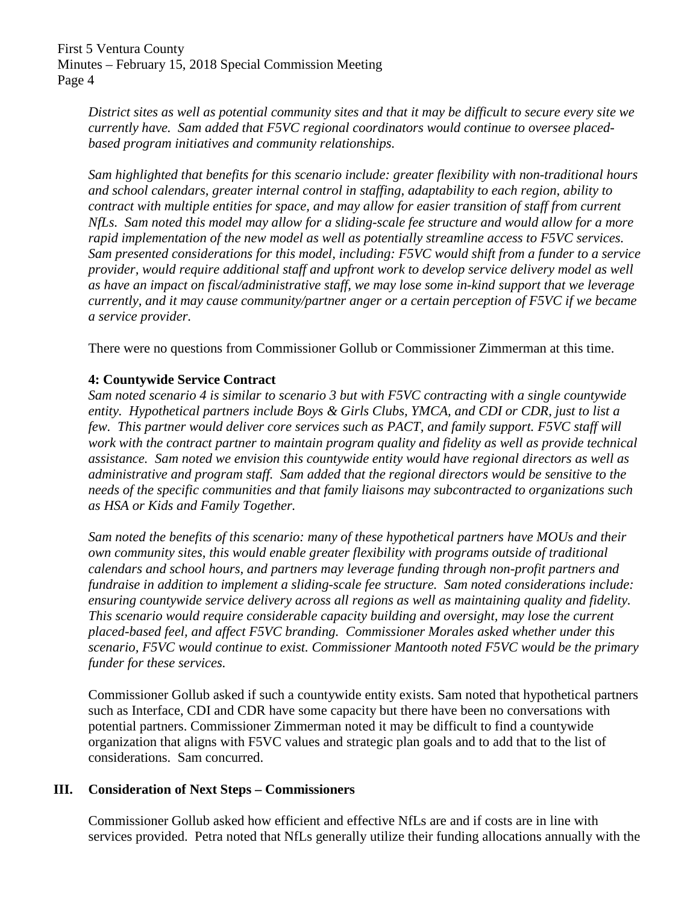*District sites as well as potential community sites and that it may be difficult to secure every site we currently have. Sam added that F5VC regional coordinators would continue to oversee placedbased program initiatives and community relationships.*

*Sam highlighted that benefits for this scenario include: greater flexibility with non-traditional hours and school calendars, greater internal control in staffing, adaptability to each region, ability to contract with multiple entities for space, and may allow for easier transition of staff from current NfLs. Sam noted this model may allow for a sliding-scale fee structure and would allow for a more rapid implementation of the new model as well as potentially streamline access to F5VC services. Sam presented considerations for this model, including: F5VC would shift from a funder to a service provider, would require additional staff and upfront work to develop service delivery model as well as have an impact on fiscal/administrative staff, we may lose some in-kind support that we leverage currently, and it may cause community/partner anger or a certain perception of F5VC if we became a service provider.*

There were no questions from Commissioner Gollub or Commissioner Zimmerman at this time.

### **4: Countywide Service Contract**

*Sam noted scenario 4 is similar to scenario 3 but with F5VC contracting with a single countywide entity. Hypothetical partners include Boys & Girls Clubs, YMCA, and CDI or CDR, just to list a few. This partner would deliver core services such as PACT, and family support. F5VC staff will work with the contract partner to maintain program quality and fidelity as well as provide technical assistance. Sam noted we envision this countywide entity would have regional directors as well as administrative and program staff. Sam added that the regional directors would be sensitive to the needs of the specific communities and that family liaisons may subcontracted to organizations such as HSA or Kids and Family Together.*

*Sam noted the benefits of this scenario: many of these hypothetical partners have MOUs and their own community sites, this would enable greater flexibility with programs outside of traditional calendars and school hours, and partners may leverage funding through non-profit partners and fundraise in addition to implement a sliding-scale fee structure. Sam noted considerations include: ensuring countywide service delivery across all regions as well as maintaining quality and fidelity. This scenario would require considerable capacity building and oversight, may lose the current placed-based feel, and affect F5VC branding. Commissioner Morales asked whether under this scenario, F5VC would continue to exist. Commissioner Mantooth noted F5VC would be the primary funder for these services.*

Commissioner Gollub asked if such a countywide entity exists. Sam noted that hypothetical partners such as Interface, CDI and CDR have some capacity but there have been no conversations with potential partners. Commissioner Zimmerman noted it may be difficult to find a countywide organization that aligns with F5VC values and strategic plan goals and to add that to the list of considerations. Sam concurred.

### **III. Consideration of Next Steps – Commissioners**

Commissioner Gollub asked how efficient and effective NfLs are and if costs are in line with services provided. Petra noted that NfLs generally utilize their funding allocations annually with the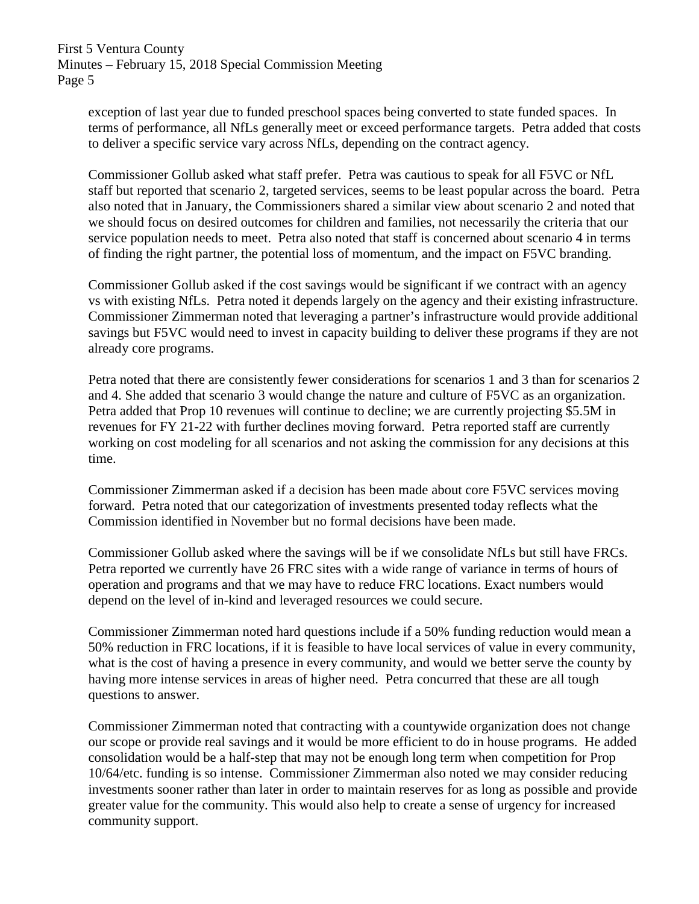exception of last year due to funded preschool spaces being converted to state funded spaces. In terms of performance, all NfLs generally meet or exceed performance targets. Petra added that costs to deliver a specific service vary across NfLs, depending on the contract agency.

Commissioner Gollub asked what staff prefer. Petra was cautious to speak for all F5VC or NfL staff but reported that scenario 2, targeted services, seems to be least popular across the board. Petra also noted that in January, the Commissioners shared a similar view about scenario 2 and noted that we should focus on desired outcomes for children and families, not necessarily the criteria that our service population needs to meet. Petra also noted that staff is concerned about scenario 4 in terms of finding the right partner, the potential loss of momentum, and the impact on F5VC branding.

Commissioner Gollub asked if the cost savings would be significant if we contract with an agency vs with existing NfLs. Petra noted it depends largely on the agency and their existing infrastructure. Commissioner Zimmerman noted that leveraging a partner's infrastructure would provide additional savings but F5VC would need to invest in capacity building to deliver these programs if they are not already core programs.

Petra noted that there are consistently fewer considerations for scenarios 1 and 3 than for scenarios 2 and 4. She added that scenario 3 would change the nature and culture of F5VC as an organization. Petra added that Prop 10 revenues will continue to decline; we are currently projecting \$5.5M in revenues for FY 21-22 with further declines moving forward. Petra reported staff are currently working on cost modeling for all scenarios and not asking the commission for any decisions at this time.

Commissioner Zimmerman asked if a decision has been made about core F5VC services moving forward. Petra noted that our categorization of investments presented today reflects what the Commission identified in November but no formal decisions have been made.

Commissioner Gollub asked where the savings will be if we consolidate NfLs but still have FRCs. Petra reported we currently have 26 FRC sites with a wide range of variance in terms of hours of operation and programs and that we may have to reduce FRC locations. Exact numbers would depend on the level of in-kind and leveraged resources we could secure.

Commissioner Zimmerman noted hard questions include if a 50% funding reduction would mean a 50% reduction in FRC locations, if it is feasible to have local services of value in every community, what is the cost of having a presence in every community, and would we better serve the county by having more intense services in areas of higher need. Petra concurred that these are all tough questions to answer.

Commissioner Zimmerman noted that contracting with a countywide organization does not change our scope or provide real savings and it would be more efficient to do in house programs. He added consolidation would be a half-step that may not be enough long term when competition for Prop 10/64/etc. funding is so intense. Commissioner Zimmerman also noted we may consider reducing investments sooner rather than later in order to maintain reserves for as long as possible and provide greater value for the community. This would also help to create a sense of urgency for increased community support.